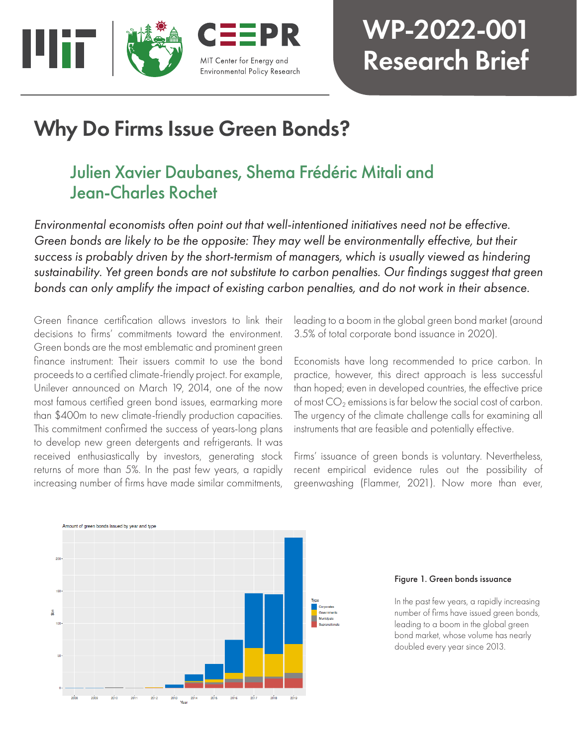

# WP-2022-001 Research Brief

## Why Do Firms Issue Green Bonds?

## Julien Xavier Daubanes, Shema Frédéric Mitali and Jean-Charles Rochet

*Environmental economists often point out that well-intentioned initiatives need not be effective. Green bonds are likely to be the opposite: They may well be environmentally effective, but their success is probably driven by the short-termism of managers, which is usually viewed as hindering sustainability. Yet green bonds are not substitute to carbon penalties. Our findings suggest that green bonds can only amplify the impact of existing carbon penalties, and do not work in their absence.*

Green finance certification allows investors to link their decisions to firms' commitments toward the environment. Green bonds are the most emblematic and prominent green finance instrument: Their issuers commit to use the bond proceeds to a certified climate-friendly project. For example, Unilever announced on March 19, 2014, one of the now most famous certified green bond issues, earmarking more than \$400m to new climate-friendly production capacities. This commitment confirmed the success of years-long plans to develop new green detergents and refrigerants. It was received enthusiastically by investors, generating stock returns of more than 5%. In the past few years, a rapidly increasing number of firms have made similar commitments,

leading to a boom in the global green bond market (around 3.5% of total corporate bond issuance in 2020).

Economists have long recommended to price carbon. In practice, however, this direct approach is less successful than hoped; even in developed countries, the effective price of most  $CO<sub>2</sub>$  emissions is far below the social cost of carbon. The urgency of the climate challenge calls for examining all instruments that are feasible and potentially effective.

Firms' issuance of green bonds is voluntary. Nevertheless, recent empirical evidence rules out the possibility of greenwashing (Flammer, 2021). Now more than ever,



#### Figure 1. Green bonds issuance

In the past few years, a rapidly increasing number of firms have issued green bonds, leading to a boom in the global green bond market, whose volume has nearly doubled every year since 2013.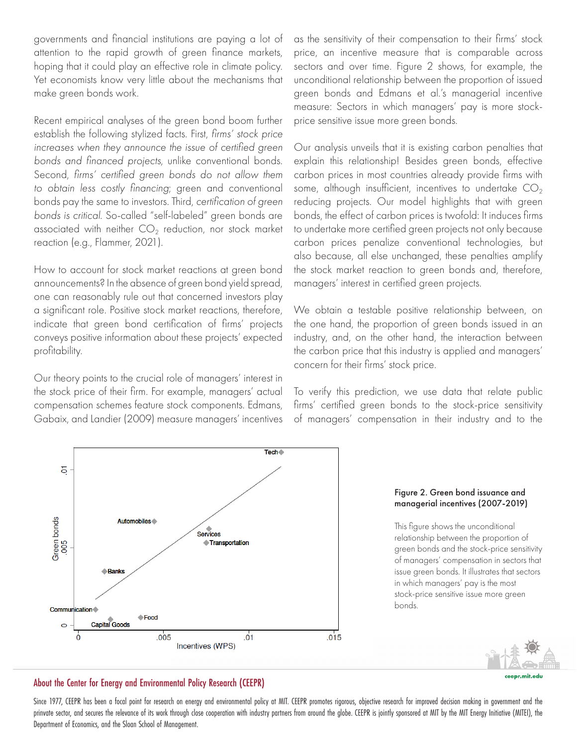governments and financial institutions are paying a lot of attention to the rapid growth of green finance markets, hoping that it could play an effective role in climate policy. Yet economists know very little about the mechanisms that make green bonds work.

Recent empirical analyses of the green bond boom further establish the following stylized facts. First, *firms' stock price increases when they announce the issue of certified green bonds and financed projects*, unlike conventional bonds. Second, *firms' certified green bonds do not allow them to obtain less costly financing*; green and conventional bonds pay the same to investors. Third, *certification of green bonds is critical*. So-called "self-labeled" green bonds are associated with neither  $CO<sub>2</sub>$  reduction, nor stock market reaction (e.g., Flammer, 2021).

How to account for stock market reactions at green bond announcements? In the absence of green bond yield spread, one can reasonably rule out that concerned investors play a significant role. Positive stock market reactions, therefore, indicate that green bond certification of firms' projects conveys positive information about these projects' expected profitability.

Our theory points to the crucial role of managers' interest in the stock price of their firm. For example, managers' actual compensation schemes feature stock components. Edmans, Gabaix, and Landier (2009) measure managers' incentives as the sensitivity of their compensation to their firms' stock price, an incentive measure that is comparable across sectors and over time. Figure 2 shows, for example, the unconditional relationship between the proportion of issued green bonds and Edmans et al.'s managerial incentive measure: Sectors in which managers' pay is more stockprice sensitive issue more green bonds.

Our analysis unveils that it is existing carbon penalties that explain this relationship! Besides green bonds, effective carbon prices in most countries already provide firms with some, although insufficient, incentives to undertake  $CO<sub>2</sub>$ reducing projects. Our model highlights that with green bonds, the effect of carbon prices is twofold: It induces firms to undertake more certified green projects not only because carbon prices penalize conventional technologies, but also because, all else unchanged, these penalties amplify the stock market reaction to green bonds and, therefore, managers' interest in certified green projects.

We obtain a testable positive relationship between, on the one hand, the proportion of green bonds issued in an industry, and, on the other hand, the interaction between the carbon price that this industry is applied and managers' concern for their firms' stock price.

To verify this prediction, we use data that relate public firms' certified green bonds to the stock-price sensitivity of managers' compensation in their industry and to the



#### Figure 2. Green bond issuance and managerial incentives (2007-2019)

This figure shows the unconditional relationship between the proportion of green bonds and the stock-price sensitivity of managers' compensation in sectors that issue green bonds. It illustrates that sectors in which managers' pay is the most stock-price sensitive issue more green bonds.



#### ceepr.mit.edu

#### About the Center for Energy and Environmental Policy Research (CEEPR)

Since 1977, CEEPR has been a focal point for research on energy and environmental policy at MIT. CEEPR promotes rigorous, objective research for improved decision making in government and the prinvate sector, and secures the relevance of its work through close cooperation with industry partners from around the globe. CEEPR is jointly sponsored at MIT by the MIT Energy Initiative (MITEI), the Department of Economics, and the Sloan School of Management.